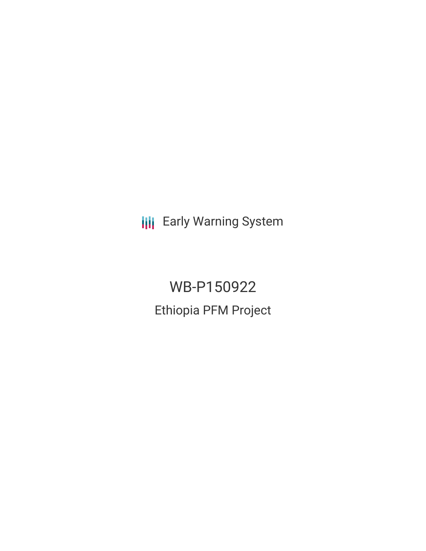**III** Early Warning System

WB-P150922 Ethiopia PFM Project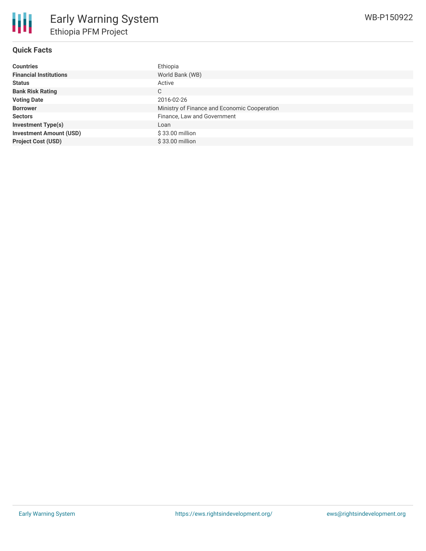| Countries                      | Ethiopia                                     |
|--------------------------------|----------------------------------------------|
| <b>Financial Institutions</b>  | World Bank (WB)                              |
| Status                         | Active                                       |
| <b>Bank Risk Rating</b>        | C                                            |
| <b>Voting Date</b>             | 2016-02-26                                   |
| <b>Borrower</b>                | Ministry of Finance and Economic Cooperation |
| Sectors                        | Finance, Law and Government                  |
| <b>Investment Type(s)</b>      | Loan                                         |
| <b>Investment Amount (USD)</b> | $$33.00$ million                             |
| <b>Project Cost (USD)</b>      | $$33.00$ million                             |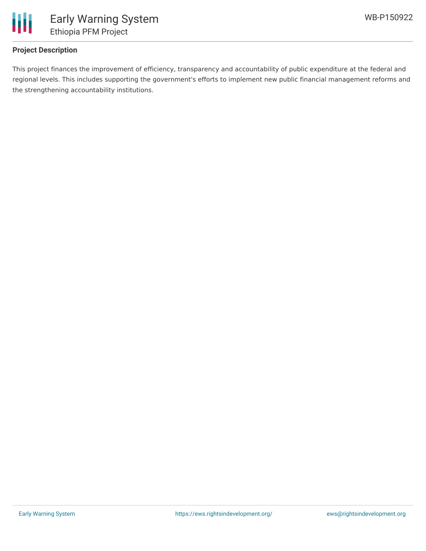

# **Project Description**

This project finances the improvement of efficiency, transparency and accountability of public expenditure at the federal and regional levels. This includes supporting the government's efforts to implement new public financial management reforms and the strengthening accountability institutions.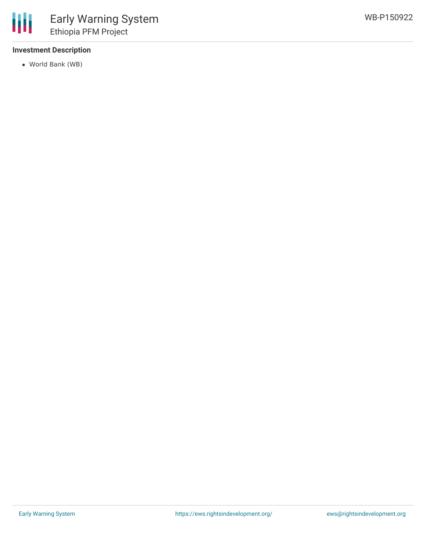

# **Investment Description**

World Bank (WB)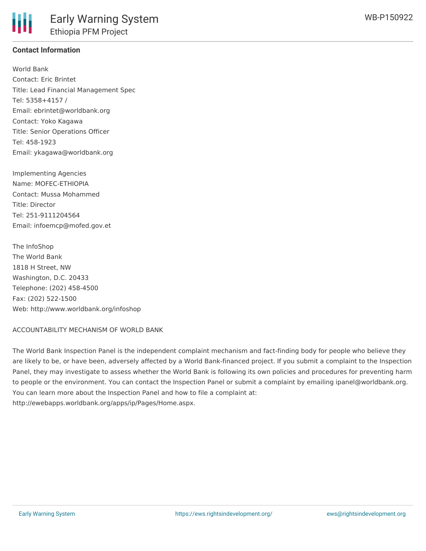## **Contact Information**

World Bank Contact: Eric Brintet Title: Lead Financial Management Spec Tel: 5358+4157 / Email: ebrintet@worldbank.org Contact: Yoko Kagawa Title: Senior Operations Officer Tel: 458-1923 Email: ykagawa@worldbank.org

Implementing Agencies Name: MOFEC-ETHIOPIA Contact: Mussa Mohammed Title: Director Tel: 251-9111204564 Email: infoemcp@mofed.gov.et

The InfoShop The World Bank 1818 H Street, NW Washington, D.C. 20433 Telephone: (202) 458-4500 Fax: (202) 522-1500 Web: http://www.worldbank.org/infoshop

### ACCOUNTABILITY MECHANISM OF WORLD BANK

The World Bank Inspection Panel is the independent complaint mechanism and fact-finding body for people who believe they are likely to be, or have been, adversely affected by a World Bank-financed project. If you submit a complaint to the Inspection Panel, they may investigate to assess whether the World Bank is following its own policies and procedures for preventing harm to people or the environment. You can contact the Inspection Panel or submit a complaint by emailing ipanel@worldbank.org. You can learn more about the Inspection Panel and how to file a complaint at: http://ewebapps.worldbank.org/apps/ip/Pages/Home.aspx.